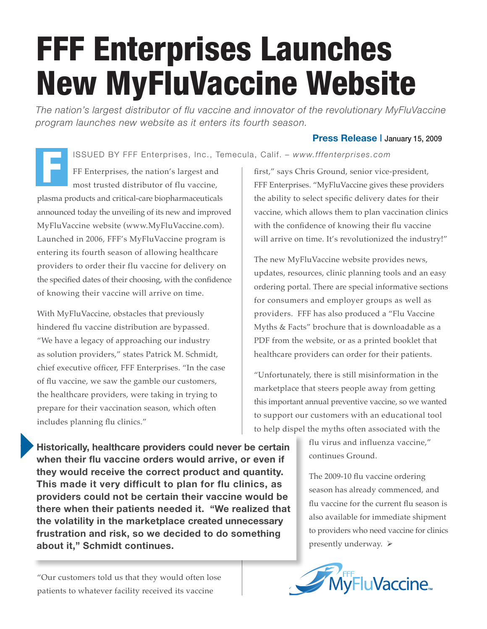## FFF Enterprises Launches New MyFluVaccine Website

*The nation's largest distributor of flu vaccine and innovator of the revolutionary MyFluVaccine program launches new website as it enters its fourth season.*

ISSUED BY FFF Enterprises, Inc., Temecula, Calif. *– www.fffenterprises.com*

FF Enterprises, the nation's largest and most trusted distributor of flu vaccine, plasma products and critical-care biopharmaceuticals announced today the unveiling of its new and improved MyFluVaccine website (www.MyFluVaccine.com). Launched in 2006, FFF's MyFluVaccine program is entering its fourth season of allowing healthcare providers to order their flu vaccine for delivery on the specified dates of their choosing, with the confidence of knowing their vaccine will arrive on time. F

With MyFluVaccine, obstacles that previously hindered flu vaccine distribution are bypassed. "We have a legacy of approaching our industry as solution providers," states Patrick M. Schmidt, chief executive officer, FFF Enterprises. "In the case of flu vaccine, we saw the gamble our customers, the healthcare providers, were taking in trying to prepare for their vaccination season, which often includes planning flu clinics."

first," says Chris Ground, senior vice-president, FFF Enterprises. "MyFluVaccine gives these providers the ability to select specific delivery dates for their vaccine, which allows them to plan vaccination clinics with the confidence of knowing their flu vaccine will arrive on time. It's revolutionized the industry!"

**Press Release |** January 15, 2009

The new MyFluVaccine website provides news, updates, resources, clinic planning tools and an easy ordering portal. There are special informative sections for consumers and employer groups as well as providers. FFF has also produced a "Flu Vaccine Myths & Facts" brochure that is downloadable as a PDF from the website, or as a printed booklet that healthcare providers can order for their patients.

"Unfortunately, there is still misinformation in the marketplace that steers people away from getting this important annual preventive vaccine, so we wanted to support our customers with an educational tool to help dispel the myths often associated with the

> flu virus and influenza vaccine," continues Ground.

The 2009-10 flu vaccine ordering season has already commenced, and flu vaccine for the current flu season is also available for immediate shipment to providers who need vaccine for clinics presently underway.  $\triangleright$ 



**Historically, healthcare providers could never be certain when their flu vaccine orders would arrive, or even if they would receive the correct product and quantity. This made it very difficult to plan for flu clinics, as providers could not be certain their vaccine would be there when their patients needed it. "We realized that the volatility in the marketplace created unnecessary frustration and risk, so we decided to do something about it," Schmidt continues.**

"Our customers told us that they would often lose patients to whatever facility received its vaccine